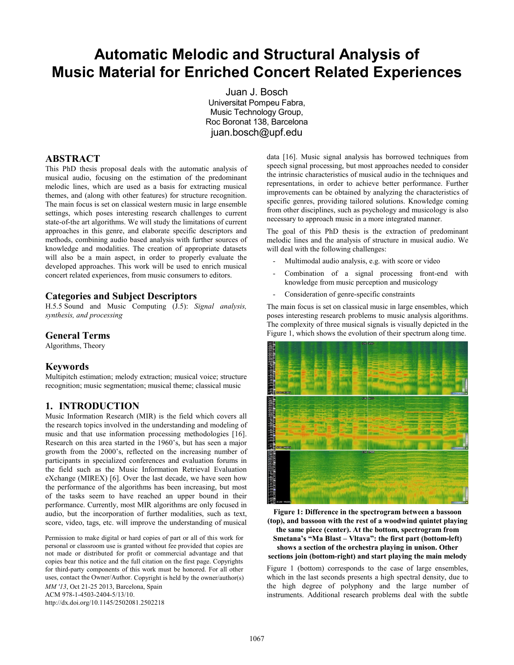# **Automatic Melodic and Structural Analysis of Music Material for Enriched Concert Related Experiences**

Juan J. Bosch Universitat Pompeu Fabra, Music Technology Group, Roc Boronat 138, Barcelona juan.bosch@upf.edu

## **ABSTRACT**

This PhD thesis proposal deals with the automatic analysis of musical audio, focusing on the estimation of the predominant melodic lines, which are used as a basis for extracting musical themes, and (along with other features) for structure recognition. The main focus is set on classical western music in large ensemble settings, which poses interesting research challenges to current state-of-the art algorithms. We will study the limitations of current approaches in this genre, and elaborate specific descriptors and methods, combining audio based analysis with further sources of knowledge and modalities. The creation of appropriate datasets will also be a main aspect, in order to properly evaluate the developed approaches. This work will be used to enrich musical concert related experiences, from music consumers to editors.

#### **Categories and Subject Descriptors**

H.5.5 Sound and Music Computing [\(J.5\)](http://www.acm.org/about/class/ccs98-html#J.5): *Signal analysis, synthesis, and processing*

#### **General Terms**

Algorithms, Theory

#### **Keywords**

Multipitch estimation; melody extraction; musical voice; structure recognition; music segmentation; musical theme; classical music

## **1. INTRODUCTION**

Music Information Research (MIR) is the field which covers all the research topics involved in the understanding and modeling of music and that use information processing methodologies [16]. Research on this area started in the 1960's, but has seen a major growth from the 2000's, reflected on the increasing number of participants in specialized conferences and evaluation forums in the field such as the Music Information Retrieval Evaluation eXchange (MIREX) [6]. Over the last decade, we have seen how the performance of the algorithms has been increasing, but most of the tasks seem to have reached an upper bound in their performance. Currently, most MIR algorithms are only focused in audio, but the incorporation of further modalities, such as text, score, video, tags, etc. will improve the understanding of musical

Permission to make digital or hard copies of part or all of this work for personal or classroom use is granted without fee provided that copies are not made or distributed for profit or commercial advantage and that copies bear this notice and the full citation on the first page. Copyrights for third-party components of this work must be honored. For all other uses, contact the Owner/Author. Copyright is held by the owner/author(s) *MM '13*, Oct 21-25 2013, Barcelona, Spain ACM 978-1-4503-2404-5/13/10. <http://dx.doi.org/10.1145/2502081.2502218>

data [16]. Music signal analysis has borrowed techniques from speech signal processing, but most approaches needed to consider the intrinsic characteristics of musical audio in the techniques and representations, in order to achieve better performance. Further improvements can be obtained by analyzing the characteristics of specific genres, providing tailored solutions. Knowledge coming from other disciplines, such as psychology and musicology is also necessary to approach music in a more integrated manner.

The goal of this PhD thesis is the extraction of predominant melodic lines and the analysis of structure in musical audio. We will deal with the following challenges:

- Multimodal audio analysis, e.g. with score or video
- Combination of a signal processing front-end with knowledge from music perception and musicology
- Consideration of genre-specific constraints

The main focus is set on classical music in large ensembles, which poses interesting research problems to music analysis algorithms. The complexity of three musical signals is visually depicted in the [Figure 1,](#page-0-0) which shows the evolution of their spectrum along time.



<span id="page-0-0"></span>**Figure 1: Difference in the spectrogram between a bassoon (top), and bassoon with the rest of a woodwind quintet playing the same piece (center). At the bottom, spectrogram from Smetana's "Ma Blast – Vltava": the first part (bottom-left) shows a section of the orchestra playing in unison. Other sections join (bottom-right) and start playing the main melody** 

[Figure 1](#page-0-0) (bottom) corresponds to the case of large ensembles, which in the last seconds presents a high spectral density, due to the high degree of polyphony and the large number of instruments. Additional research problems deal with the subtle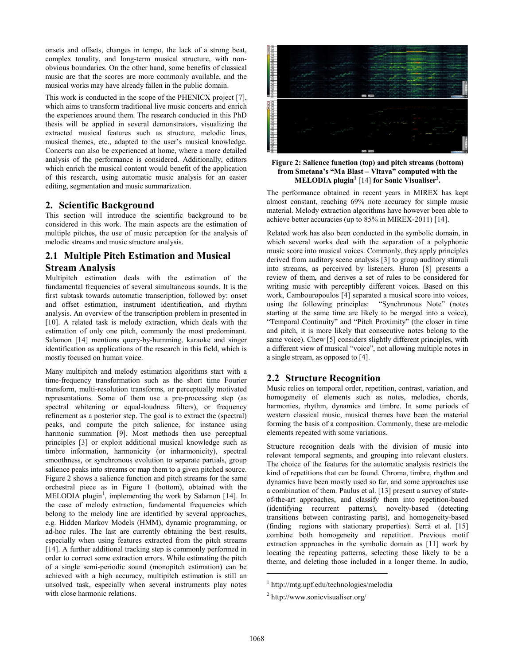onsets and offsets, changes in tempo, the lack of a strong beat, complex tonality, and long-term musical structure, with nonobvious boundaries. On the other hand, some benefits of classical music are that the scores are more commonly available, and the musical works may have already fallen in the public domain.

This work is conducted in the scope of the PHENICX project [7], which aims to transform traditional live music concerts and enrich the experiences around them. The research conducted in this PhD thesis will be applied in several demonstrators, visualizing the extracted musical features such as structure, melodic lines, musical themes, etc., adapted to the user's musical knowledge. Concerts can also be experienced at home, where a more detailed analysis of the performance is considered. Additionally, editors which enrich the musical content would benefit of the application of this research, using automatic music analysis for an easier editing, segmentation and music summarization.

### **2. Scientific Background**

This section will introduce the scientific background to be considered in this work. The main aspects are the estimation of multiple pitches, the use of music perception for the analysis of melodic streams and music structure analysis.

## **2.1 Multiple Pitch Estimation and Musical Stream Analysis**

Multipitch estimation deals with the estimation of the fundamental frequencies of several simultaneous sounds. It is the first subtask towards automatic transcription, followed by: onset and offset estimation, instrument identification, and rhythm analysis. An overview of the transcription problem in presented in [10]. A related task is melody extraction, which deals with the estimation of only one pitch, commonly the most predominant. Salamon [14] mentions query-by-humming, karaoke and singer identification as applications of the research in this field, which is mostly focused on human voice.

Many multipitch and melody estimation algorithms start with a time-frequency transformation such as the short time Fourier transform, multi-resolution transforms, or perceptually motivated representations. Some of them use a pre-processing step (as spectral whitening or equal-loudness filters), or frequency refinement as a posterior step. The goal is to extract the (spectral) peaks, and compute the pitch salience, for instance using harmonic summation [9]. Most methods then use perceptual principles [3] or exploit additional musical knowledge such as timbre information, harmonicity (or inharmonicity), spectral smoothness, or synchronous evolution to separate partials, group salience peaks into streams or map them to a given pitched source. [Figure 2](#page-1-0) shows a salience function and pitch streams for the same orchestral piece as in [Figure 1](#page-0-0) (bottom), obtained with the  $MELODIA$  plugin<sup>1</sup>, implementing the work by Salamon [14]. In the case of melody extraction, fundamental frequencies which belong to the melody line are identified by several approaches, e.g. Hidden Markov Models (HMM), dynamic programming, or ad-hoc rules. The last are currently obtaining the best results, especially when using features extracted from the pitch streams [14]. A further additional tracking step is commonly performed in order to correct some extraction errors. While estimating the pitch of a single semi-periodic sound (monopitch estimation) can be achieved with a high accuracy, multipitch estimation is still an unsolved task, especially when several instruments play notes with close harmonic relations.



<span id="page-1-0"></span>**Figure 2: Salience function (top) and pitch streams (bottom) from Smetana's "Ma Blast – Vltava" computed with the MELODIA plugin<sup>1</sup>** [14] **for Sonic Visualiser<sup>2</sup> .** 

The performance obtained in recent years in MIREX has kept almost constant, reaching 69% note accuracy for simple music material. Melody extraction algorithms have however been able to achieve better accuracies (up to 85% in MIREX-2011) [14].

Related work has also been conducted in the symbolic domain, in which several works deal with the separation of a polyphonic music score into musical voices. Commonly, they apply principles derived from auditory scene analysis [3] to group auditory stimuli into streams, as perceived by listeners. Huron [8] presents a review of them, and derives a set of rules to be considered for writing music with perceptibly different voices. Based on this work, Cambouropoulos [4] separated a musical score into voices, using the following principles: "Synchronous Note" (notes using the following principles: starting at the same time are likely to be merged into a voice), "Temporal Continuity" and "Pitch Proximity" (the closer in time and pitch, it is more likely that consecutive notes belong to the same voice). Chew [5] considers slightly different principles, with a different view of musical "voice", not allowing multiple notes in a single stream, as opposed to [4].

## **2.2 Structure Recognition**

Music relies on temporal order, repetition, contrast, variation, and homogeneity of elements such as notes, melodies, chords, harmonies, rhythm, dynamics and timbre. In some periods of western classical music, musical themes have been the material forming the basis of a composition. Commonly, these are melodic elements repeated with some variations.

Structure recognition deals with the division of music into relevant temporal segments, and grouping into relevant clusters. The choice of the features for the automatic analysis restricts the kind of repetitions that can be found. Chroma, timbre, rhythm and dynamics have been mostly used so far, and some approaches use a combination of them. Paulus et al. [13] present a survey of stateof-the-art approaches, and classify them into repetition-based (identifying recurrent patterns), novelty-based (detecting transitions between contrasting parts), and homogeneity-based (finding regions with stationary properties). Serrà et al. [15] combine both homogeneity and repetition. Previous motif extraction approaches in the symbolic domain as [11] work by locating the repeating patterns, selecting those likely to be a theme, and deleting those included in a longer theme. In audio,

 $\overline{a}$ 

<sup>1</sup> http://mtg.upf.edu/technologies/melodia

<sup>2</sup> http://www.sonicvisualiser.org/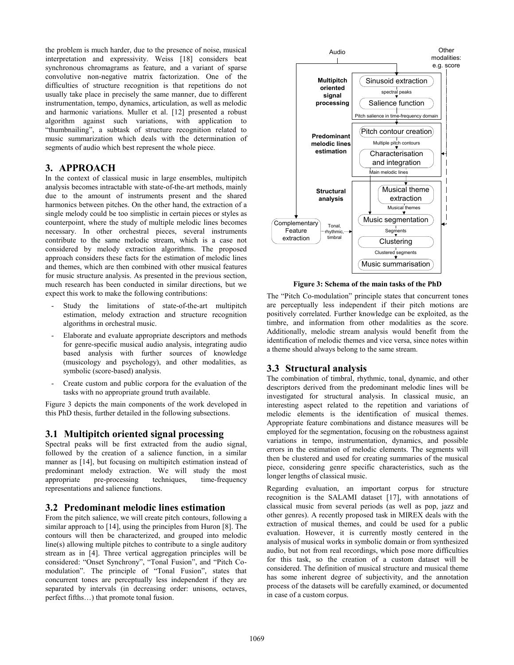the problem is much harder, due to the presence of noise, musical interpretation and expressivity. Weiss [18] considers beat synchronous chromagrams as feature, and a variant of sparse convolutive non-negative matrix factorization. One of the difficulties of structure recognition is that repetitions do not usually take place in precisely the same manner, due to different instrumentation, tempo, dynamics, articulation, as well as melodic and harmonic variations. Muller et al. [12] presented a robust algorithm against such variations, with application to "thumbnailing", a subtask of structure recognition related to music summarization which deals with the determination of segments of audio which best represent the whole piece.

### **3. APPROACH**

In the context of classical music in large ensembles, multipitch analysis becomes intractable with state-of-the-art methods, mainly due to the amount of instruments present and the shared harmonics between pitches. On the other hand, the extraction of a single melody could be too simplistic in certain pieces or styles as counterpoint, where the study of multiple melodic lines becomes necessary. In other orchestral pieces, several instruments contribute to the same melodic stream, which is a case not considered by melody extraction algorithms. The proposed approach considers these facts for the estimation of melodic lines and themes, which are then combined with other musical features for music structure analysis. As presented in the previous section, much research has been conducted in similar directions, but we expect this work to make the following contributions:

- Study the limitations of state-of-the-art multipitch estimation, melody extraction and structure recognition algorithms in orchestral music.
- Elaborate and evaluate appropriate descriptors and methods for genre-specific musical audio analysis, integrating audio based analysis with further sources of knowledge (musicology and psychology), and other modalities, as symbolic (score-based) analysis.
- Create custom and public corpora for the evaluation of the tasks with no appropriate ground truth available.

[Figure 3](#page-2-0) depicts the main components of the work developed in this PhD thesis, further detailed in the following subsections.

#### **3.1 Multipitch oriented signal processing**

Spectral peaks will be first extracted from the audio signal, followed by the creation of a salience function, in a similar manner as [14], but focusing on multipitch estimation instead of predominant melody extraction. We will study the most appropriate pre-processing techniques, time-frequency representations and salience functions.

#### **3.2 Predominant melodic lines estimation**

From the pitch salience, we will create pitch contours, following a similar approach to [14], using the principles from Huron [8]. The contours will then be characterized, and grouped into melodic line(s) allowing multiple pitches to contribute to a single auditory stream as in [4]. Three vertical aggregation principles will be considered: "Onset Synchrony", "Tonal Fusion", and "Pitch Comodulation". The principle of "Tonal Fusion", states that concurrent tones are perceptually less independent if they are separated by intervals (in decreasing order: unisons, octaves, perfect fifths…) that promote tonal fusion.



**Figure 3: Schema of the main tasks of the PhD** 

<span id="page-2-0"></span>The "Pitch Co-modulation" principle states that concurrent tones are perceptually less independent if their pitch motions are positively correlated. Further knowledge can be exploited, as the timbre, and information from other modalities as the score. Additionally, melodic stream analysis would benefit from the identification of melodic themes and vice versa, since notes within a theme should always belong to the same stream.

## **3.3 Structural analysis**

The combination of timbral, rhythmic, tonal, dynamic, and other descriptors derived from the predominant melodic lines will be investigated for structural analysis. In classical music, an interesting aspect related to the repetition and variations of melodic elements is the identification of musical themes. Appropriate feature combinations and distance measures will be employed for the segmentation, focusing on the robustness against variations in tempo, instrumentation, dynamics, and possible errors in the estimation of melodic elements. The segments will then be clustered and used for creating summaries of the musical piece, considering genre specific characteristics, such as the longer lengths of classical music.

Regarding evaluation, an important corpus for structure recognition is the SALAMI dataset [17], with annotations of classical music from several periods (as well as pop, jazz and other genres). A recently proposed task in MIREX deals with the extraction of musical themes, and could be used for a public evaluation. However, it is currently mostly centered in the analysis of musical works in symbolic domain or from synthesized audio, but not from real recordings, which pose more difficulties for this task, so the creation of a custom dataset will be considered. The definition of musical structure and musical theme has some inherent degree of subjectivity, and the annotation process of the datasets will be carefully examined, or documented in case of a custom corpus.